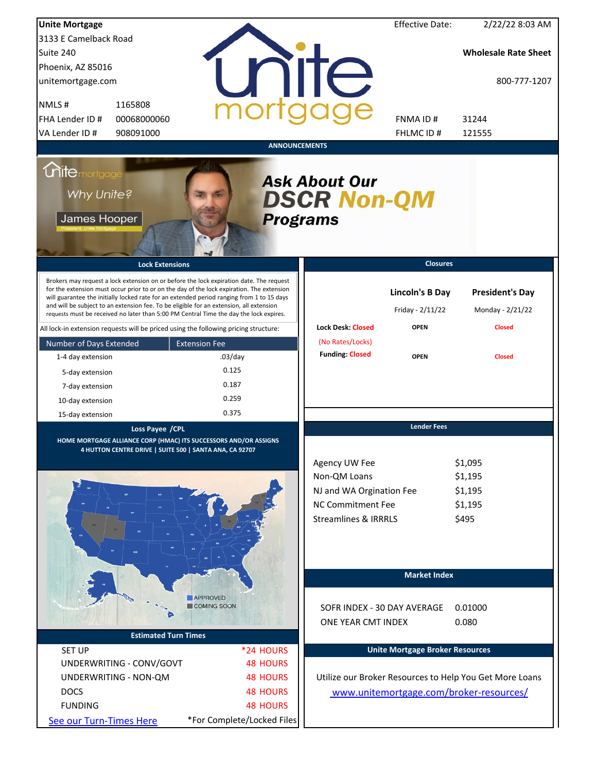| <b>Unite Mortgage</b>                                                                                                                                                                                                                                                                                                                                                                                                                                                  |                                       |                                                                                                                   | <b>Effective Date:</b>                     | 2/22/22 8:03 AM                                         |
|------------------------------------------------------------------------------------------------------------------------------------------------------------------------------------------------------------------------------------------------------------------------------------------------------------------------------------------------------------------------------------------------------------------------------------------------------------------------|---------------------------------------|-------------------------------------------------------------------------------------------------------------------|--------------------------------------------|---------------------------------------------------------|
| 3133 E Camelback Road                                                                                                                                                                                                                                                                                                                                                                                                                                                  |                                       |                                                                                                                   |                                            |                                                         |
| Suite 240                                                                                                                                                                                                                                                                                                                                                                                                                                                              |                                       |                                                                                                                   |                                            | <b>Wholesale Rate Sheet</b>                             |
| Phoenix, AZ 85016                                                                                                                                                                                                                                                                                                                                                                                                                                                      |                                       |                                                                                                                   |                                            |                                                         |
| unitemortgage.com                                                                                                                                                                                                                                                                                                                                                                                                                                                      |                                       | <b>TITE</b>                                                                                                       |                                            | 800-777-1207                                            |
| NMLS#<br>1165808                                                                                                                                                                                                                                                                                                                                                                                                                                                       |                                       |                                                                                                                   |                                            |                                                         |
| 00068000060<br>FHA Lender ID #                                                                                                                                                                                                                                                                                                                                                                                                                                         |                                       |                                                                                                                   | FNMA ID#                                   | 31244                                                   |
| VA Lender ID #<br>908091000                                                                                                                                                                                                                                                                                                                                                                                                                                            |                                       |                                                                                                                   | FHLMC ID#                                  | 121555                                                  |
|                                                                                                                                                                                                                                                                                                                                                                                                                                                                        | <b>ANNOUNCEMENTS</b>                  |                                                                                                                   |                                            |                                                         |
| <i><u><b>Chitemortgage</b></u></i><br>Why Unite?<br>James Hooper                                                                                                                                                                                                                                                                                                                                                                                                       | <b>Programs</b>                       | <b>Ask About Our</b><br><b>DSCR Non-QM</b>                                                                        |                                            |                                                         |
| <b>Lock Extensions</b>                                                                                                                                                                                                                                                                                                                                                                                                                                                 |                                       |                                                                                                                   | <b>Closures</b>                            |                                                         |
| Brokers may request a lock extension on or before the lock expiration date. The request<br>for the extension must occur prior to or on the day of the lock expiration. The extension<br>will guarantee the initially locked rate for an extended period ranging from 1 to 15 days<br>and will be subject to an extension fee. To be eligible for an extension, all extension<br>requests must be received no later than 5:00 PM Central Time the day the lock expires. |                                       |                                                                                                                   | <b>Lincoln's B Day</b><br>Friday - 2/11/22 | <b>President's Day</b><br>Monday - 2/21/22              |
| All lock-in extension requests will be priced using the following pricing structure:                                                                                                                                                                                                                                                                                                                                                                                   |                                       | <b>Lock Desk: Closed</b>                                                                                          | <b>OPEN</b>                                | <b>Closed</b>                                           |
| Number of Days Extended                                                                                                                                                                                                                                                                                                                                                                                                                                                | <b>Extension Fee</b>                  | (No Rates/Locks)                                                                                                  |                                            |                                                         |
| 1-4 day extension                                                                                                                                                                                                                                                                                                                                                                                                                                                      | $.03$ /day                            | <b>Funding: Closed</b>                                                                                            | <b>OPEN</b>                                | <b>Closed</b>                                           |
| 5-day extension                                                                                                                                                                                                                                                                                                                                                                                                                                                        | 0.125                                 |                                                                                                                   |                                            |                                                         |
| 7-day extension                                                                                                                                                                                                                                                                                                                                                                                                                                                        | 0.187                                 |                                                                                                                   |                                            |                                                         |
| 10-day extension                                                                                                                                                                                                                                                                                                                                                                                                                                                       | 0.259                                 |                                                                                                                   |                                            |                                                         |
| 15-day extension                                                                                                                                                                                                                                                                                                                                                                                                                                                       | 0.375                                 |                                                                                                                   |                                            |                                                         |
| Loss Payee / CPL<br>HOME MORTGAGE ALLIANCE CORP (HMAC) ITS SUCCESSORS AND/OR ASSIGNS<br>4 HUTTON CENTRE DRIVE   SUITE 500   SANTA ANA, CA 92707                                                                                                                                                                                                                                                                                                                        |                                       | Agency UW Fee<br>Non-QM Loans<br>NJ and WA Orgination Fee<br>NC Commitment Fee<br><b>Streamlines &amp; IRRRLS</b> | <b>Lender Fees</b>                         | \$1,095<br>\$1,195<br>\$1,195<br>\$1,195<br>\$495       |
|                                                                                                                                                                                                                                                                                                                                                                                                                                                                        | <b>APPROVED</b><br><b>COMING SOON</b> | SOFR INDEX - 30 DAY AVERAGE<br>ONE YEAR CMT INDEX                                                                 | <b>Market Index</b>                        | 0.01000<br>0.080                                        |
| <b>Estimated Turn Times</b>                                                                                                                                                                                                                                                                                                                                                                                                                                            |                                       |                                                                                                                   |                                            |                                                         |
| <b>SET UP</b>                                                                                                                                                                                                                                                                                                                                                                                                                                                          | *24 HOURS                             |                                                                                                                   | <b>Unite Mortgage Broker Resources</b>     |                                                         |
| UNDERWRITING - CONV/GOVT                                                                                                                                                                                                                                                                                                                                                                                                                                               | <b>48 HOURS</b>                       |                                                                                                                   |                                            |                                                         |
| UNDERWRITING - NON-QM                                                                                                                                                                                                                                                                                                                                                                                                                                                  | <b>48 HOURS</b>                       |                                                                                                                   |                                            | Utilize our Broker Resources to Help You Get More Loans |
| <b>DOCS</b>                                                                                                                                                                                                                                                                                                                                                                                                                                                            | <b>48 HOURS</b>                       |                                                                                                                   |                                            | www.unitemortgage.com/broker-resources/                 |
| <b>FUNDING</b>                                                                                                                                                                                                                                                                                                                                                                                                                                                         | <b>48 HOURS</b>                       |                                                                                                                   |                                            |                                                         |
| See our Turn-Times Here                                                                                                                                                                                                                                                                                                                                                                                                                                                | *For Complete/Locked Files            |                                                                                                                   |                                            |                                                         |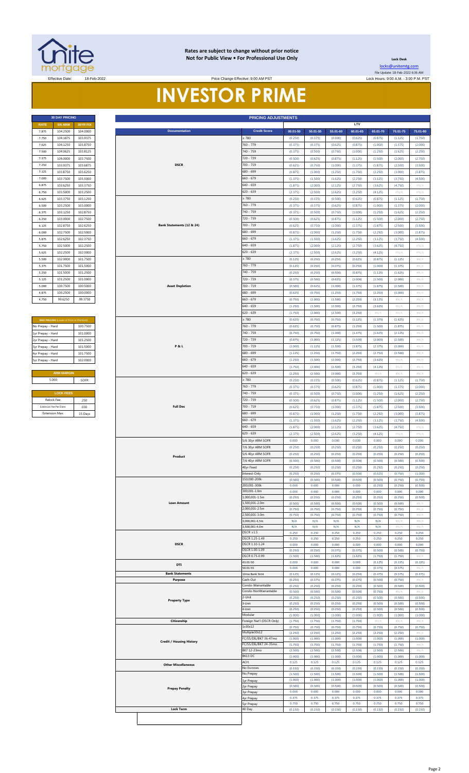

#### **Rates are subject to change without prior notice Not for Public View • For Professional Use Only**

**Lock Desk** [locks@unitemtg](mailto:locks@unitemtg.com).com File Update: 18-Feb-2022 6:36 AM

# Effective: 9:00 AM PST Lock Hours: 9:00 A.M. - 3:00 P.M. PST Lock Hours: 9:00 A.M. - 3:00 P.M. PST **INVESTOR PRIME**

|       | <b>30 DAY PRICING</b> |                 |
|-------|-----------------------|-----------------|
| RATE  | <b>5/6 ARM</b>        | <b>30YR FIX</b> |
| 7.875 | 104.2500              | 104.0000        |
| 7.750 | 104.1875              | 103.9375        |
| 7.625 | 104.1250              | 103.8750        |
| 7.500 | 104.0625              | 103.8125        |
| 7.375 | 104.0000              | 103.7500        |
| 7.250 | 103.9375              | 103.6875        |
| 7.125 | 103.8750              | 103.6250        |
| 7.000 | 103.7500              | 103.5000        |
| 6.875 | 103.6250              | 103.3750        |
| 6.750 | 103.5000              | 103.2500        |
| 6.625 | 103.3750              | 103.1250        |
| 6.500 | 103.2500              | 103.0000        |
| 6.375 | 103.1250              | 102.8750        |
| 6.250 | 103,0000              | 102.7500        |
| 6.125 | 102.8750              | 102.6250        |
| 6.000 | 102.7500              | 102.5000        |
| 5.875 | 102.6250              | 102.3750        |
| 5.750 | 102.5000              | 102.2500        |
| 5.625 | 102.2500              | 102.0000        |
| 5.500 | 102.0000              | 101.7500        |
| 5.375 | 101.7500              | 101.5000        |
| 5.250 | 101.5000              | 101.2500        |
| 5.125 | 101.2500              | 101.0000        |
| 5.000 | 100.7500              | 100,5000        |
| 4.875 | 100.2500              | 100,0000        |
| 4.750 | 996250                | 99 3750         |

| <b>MAX PRICING</b> (Lower of Price or Premium) |          |
|------------------------------------------------|----------|
| No Prepay - Hard                               | 100.7500 |
| 1yr Prepay - Hard                              | 101.0000 |
| 2yr Prepay - Hard                              | 101.2500 |
| 3yr Prepay - Hard                              | 101.5000 |
| 4yr Prepay - Hard                              | 101 7500 |
| 5yr Prepay - Hard                              | 102.0000 |
|                                                |          |
| <b>ARM MARGIN</b>                              |          |
| 5.000                                          | SOFR     |
|                                                |          |
| <b>LOCK FEES</b>                               |          |
| Relock Fee:                                    | 250      |
| Extension Fee Per Diem:                        | 030      |
| <b>Extension Max:</b>                          | 15 Days  |

| 7.875<br>7.750          | <b>5/6 ARM</b>                          | 30YR FIX             |  |  |  |
|-------------------------|-----------------------------------------|----------------------|--|--|--|
|                         | <b>RATE</b>                             |                      |  |  |  |
|                         | 104.2500<br>104.1875                    | 104.0000<br>103.9375 |  |  |  |
| 7.625                   | 104.1250                                | 103.8750             |  |  |  |
| 7.500                   | 104.0625                                | 103.8125             |  |  |  |
| 7.375                   | 104.0000                                | 103.7500             |  |  |  |
|                         | 103.9375                                | 103.6875             |  |  |  |
| 7.250                   |                                         |                      |  |  |  |
| 7.125                   | 103.8750                                | 103.6250             |  |  |  |
| 7.000                   | 103.7500                                | 103.5000             |  |  |  |
| 6.875                   | 103.6250                                | 103.3750             |  |  |  |
| 6.750                   | 103.5000                                | 103.2500             |  |  |  |
| 6.625                   | 103.3750                                | 103.1250             |  |  |  |
| 6.500                   | 103.2500                                | 103.0000             |  |  |  |
| 6.375                   | 103.1250                                | 102.8750             |  |  |  |
| 6.250                   | 103.0000                                | 102.7500             |  |  |  |
| 6.125                   | 102.8750                                | 102.6250             |  |  |  |
| 6.000                   | 102.7500                                | 102.5000             |  |  |  |
| 5.875                   | 102.6250                                | 102.3750             |  |  |  |
| 5.750                   | 102.5000                                | 102.2500             |  |  |  |
| 5.625                   | 102.2500                                | 102.0000             |  |  |  |
| 5.500                   | 102.0000                                | 101.7500             |  |  |  |
| 5.375                   | 101.7500                                | 101.5000             |  |  |  |
|                         |                                         |                      |  |  |  |
| 5.250                   | 101.5000                                | 101.2500             |  |  |  |
| 5.125                   | 101.2500                                | 101.0000             |  |  |  |
| 5.000                   | 100.7500                                | 100.5000             |  |  |  |
| 4.875                   | 100.2500                                | 100.0000             |  |  |  |
| 4.750                   | 99.6250                                 | 99.3750              |  |  |  |
|                         |                                         |                      |  |  |  |
|                         |                                         |                      |  |  |  |
|                         | MAX PRICING (Lower of Price or Premium) |                      |  |  |  |
| No Prepay - Hard        |                                         | 100.7500             |  |  |  |
| 1yr Prepay - Hard       |                                         | 101.0000             |  |  |  |
| 2yr Prepay - Hard       |                                         | 101.2500             |  |  |  |
| 3yr Prepay - Hard       |                                         | 101.5000             |  |  |  |
| 4yr Prepay - Hard       |                                         | 101.7500             |  |  |  |
| Syr Prepay - Hard       |                                         | 102.0000             |  |  |  |
|                         |                                         |                      |  |  |  |
|                         | <b>ARM MARGIN</b>                       |                      |  |  |  |
| 5.000                   |                                         |                      |  |  |  |
|                         |                                         | SOFR                 |  |  |  |
|                         |                                         |                      |  |  |  |
|                         | <b>LOCK FEES</b>                        |                      |  |  |  |
| Relock Fee:             |                                         | .250                 |  |  |  |
| Extension Fee Per Diem: |                                         | .030                 |  |  |  |
| <b>Extension Max:</b>   |                                         | 15 Days              |  |  |  |
|                         |                                         |                      |  |  |  |
|                         |                                         |                      |  |  |  |
|                         |                                         |                      |  |  |  |
|                         |                                         |                      |  |  |  |
|                         |                                         |                      |  |  |  |
|                         |                                         |                      |  |  |  |
|                         |                                         |                      |  |  |  |
|                         |                                         |                      |  |  |  |
|                         |                                         |                      |  |  |  |
|                         |                                         |                      |  |  |  |
|                         |                                         |                      |  |  |  |
|                         |                                         |                      |  |  |  |
|                         |                                         |                      |  |  |  |
|                         |                                         |                      |  |  |  |
|                         |                                         |                      |  |  |  |
|                         |                                         |                      |  |  |  |
|                         |                                         |                      |  |  |  |
|                         |                                         |                      |  |  |  |
|                         |                                         |                      |  |  |  |
|                         |                                         |                      |  |  |  |
|                         |                                         |                      |  |  |  |
|                         |                                         |                      |  |  |  |
|                         |                                         |                      |  |  |  |
|                         |                                         |                      |  |  |  |
|                         |                                         |                      |  |  |  |
|                         |                                         |                      |  |  |  |
|                         |                                         |                      |  |  |  |
|                         |                                         |                      |  |  |  |
|                         |                                         |                      |  |  |  |
|                         |                                         |                      |  |  |  |
|                         |                                         |                      |  |  |  |
|                         |                                         |                      |  |  |  |
|                         |                                         |                      |  |  |  |
|                         |                                         |                      |  |  |  |
|                         |                                         |                      |  |  |  |
|                         |                                         |                      |  |  |  |
|                         |                                         |                      |  |  |  |
|                         |                                         |                      |  |  |  |
|                         |                                         |                      |  |  |  |
|                         |                                         |                      |  |  |  |
|                         |                                         |                      |  |  |  |
|                         |                                         |                      |  |  |  |
|                         |                                         |                      |  |  |  |
|                         |                                         |                      |  |  |  |
|                         |                                         |                      |  |  |  |
|                         |                                         |                      |  |  |  |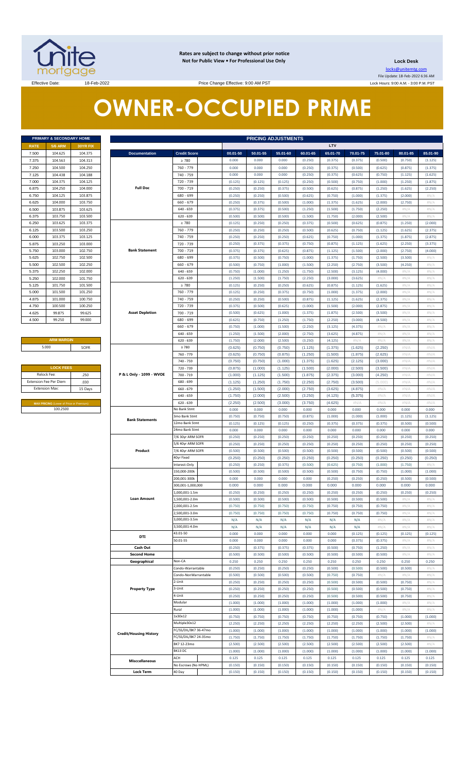

**Rates are subject to change without prior notice Not for Public View • For Professional Use Only** 

**Lock Desk** locks@unitemtg.com

File Update: 18-Feb-2022 6:36 AM Lock Hours: 9:00 A.M. - 3:00 P.M. PST

Effective Date: 18-Feb-2022 18-Feb-2022 Price Change Effective: 9:00 AM PST

# **OWNER-OCCUPIED PRIME**

|             | <b>PRIMARY &amp; SECONDARY HOME</b> |                 |
|-------------|-------------------------------------|-----------------|
| <b>RATE</b> | <b>5/6 ARM</b>                      | <b>30YR FIX</b> |
| 7.500       | 104.625                             | 104.375         |
| 7.375       | 104.563                             | 104.313         |
| 7.250       | 104.500                             | 104.250         |
| 7.125       | 104 438                             | 104.188         |
| 7.000       | 104.375                             | 104.125         |
| 6.875       | 104.250                             | 104.000         |
| 6.750       | 104.125                             | 103.875         |
| 6.625       | 104.000                             | 103.750         |
| 6.500       | 103.875                             | 103.625         |
| 6.375       | 103.750                             | 103.500         |
| 6.250       | 103.625                             | 103.375         |
| 6.125       | 103.500                             | 103.250         |
| 6.000       | 103.375                             | 103.125         |
| 5.875       | 103.250                             | 103,000         |
| 5.750       | 103,000                             | 102.750         |
| 5.625       | 102.750                             | 102.500         |
| 5.500       | 102.500                             | 102.250         |
| 5.375       | 102.250                             | 102.000         |
| 5.250       | 102.000                             | 101.750         |
| 5.125       | 101.750                             | 101.500         |
| 5.000       | 101.500                             | 101.250         |
| 4.875       | 101.000                             | 100.750         |
| 4.750       | 100.500                             | 100.250         |
| 4.625       | 99.875                              | 99.625          |
| 4.500       | 99.250                              | 99.000          |

#### **ARM MARGIN** 5.000

| <b>LOCK FEES</b>              |         |
|-------------------------------|---------|
| Relock Fee:                   | .250    |
| <b>Extension Fee Per Diem</b> | .030    |
| <b>Extension Max:</b>         | 15 Days |

|                | PRIMARY & SECONDARY HOME                                          |                    |                               |                                                                                                                                                                                        |                    |                    | <b>PRICING ADJUSTMENTS</b> |                    |                    |                    |                                                                                                                                                                                                                                                                                                                                                                                                                                                                                                                                                                                                                                                                                                                                                                   |                    |                    |  |
|----------------|-------------------------------------------------------------------|--------------------|-------------------------------|----------------------------------------------------------------------------------------------------------------------------------------------------------------------------------------|--------------------|--------------------|----------------------------|--------------------|--------------------|--------------------|-------------------------------------------------------------------------------------------------------------------------------------------------------------------------------------------------------------------------------------------------------------------------------------------------------------------------------------------------------------------------------------------------------------------------------------------------------------------------------------------------------------------------------------------------------------------------------------------------------------------------------------------------------------------------------------------------------------------------------------------------------------------|--------------------|--------------------|--|
| RATE           | <b>5/6 ARM</b>                                                    | <b>30YR FIX</b>    |                               |                                                                                                                                                                                        |                    |                    |                            |                    | LTV                |                    |                                                                                                                                                                                                                                                                                                                                                                                                                                                                                                                                                                                                                                                                                                                                                                   |                    |                    |  |
| 7.500          | 104.625                                                           | 104.375            | <b>Documentation</b>          | <b>Credit Score</b>                                                                                                                                                                    | 00.01-50           | 50.01-55           | 55.01-60                   | 60.01-65           | 65.01-70           | 70.01-75           | 75.01-80                                                                                                                                                                                                                                                                                                                                                                                                                                                                                                                                                                                                                                                                                                                                                          | 80.01-85           | 85.01-90           |  |
| 7.375          | 104.563                                                           | 104.313            |                               | $\geq 780$                                                                                                                                                                             | 0.000              | 0.000              | 0.000                      | (0.250)            | (0.375)            | (0.375)            | (0.500)                                                                                                                                                                                                                                                                                                                                                                                                                                                                                                                                                                                                                                                                                                                                                           | (0.750)            | (1.125)            |  |
| 7.250          | 104.500                                                           | 104.250            |                               | 760 - 779                                                                                                                                                                              | 0.000              | 0.000              | 0.000                      | (0.250)            | (0.375)            | (0.500)            | (0.625)                                                                                                                                                                                                                                                                                                                                                                                                                                                                                                                                                                                                                                                                                                                                                           | (0.875)            | (1.375)            |  |
| 7.125          | 104.438                                                           | 104.188            |                               | 740 - 759                                                                                                                                                                              | 0.000              | 0.000              | 0.000                      | (0.250)            | (0.375)            | (0.625)            | (0.750)                                                                                                                                                                                                                                                                                                                                                                                                                                                                                                                                                                                                                                                                                                                                                           | (1.125)            | (1.625)            |  |
| 7.000          | 104.375                                                           | 104.125            |                               | 720 - 739                                                                                                                                                                              | (0.125)            | (0.125)            | (0.125)                    | (0.250)            | (0.500)            | (0.750)            | (1.000)                                                                                                                                                                                                                                                                                                                                                                                                                                                                                                                                                                                                                                                                                                                                                           | (1.250)            | (1.875)            |  |
| 6.875          | 104.250                                                           | 104.000            | <b>Full Doc</b>               | 700 - 719                                                                                                                                                                              | (0.250)            | (0.250)            | (0.375)                    | (0.500)            | (0.625)            | (0.875)            |                                                                                                                                                                                                                                                                                                                                                                                                                                                                                                                                                                                                                                                                                                                                                                   | (1.625)            | (2.250)            |  |
| 6.750          | 104.125                                                           | 103.875            |                               | 680 - 699                                                                                                                                                                              | (0.250)            | (0.250)            | (0.500)                    | (0.625)            | (0.750)            | (1.000)            |                                                                                                                                                                                                                                                                                                                                                                                                                                                                                                                                                                                                                                                                                                                                                                   | (2.000)            | #N//               |  |
| 6.625          | 104.000                                                           | 103.750            |                               | $660 - 679$                                                                                                                                                                            | (0.250)            | (0.375)            | (0.500)                    | (1.000)            | (1.375)            | (1.625)            |                                                                                                                                                                                                                                                                                                                                                                                                                                                                                                                                                                                                                                                                                                                                                                   | (2.750)            | #N/A               |  |
| 6.500          | 103.875                                                           | 103.625            |                               | $640 - 659$                                                                                                                                                                            | (0.375)            | (0.375)            | (0.500)                    | (1.250)            | (1.500)            | (1.750)            |                                                                                                                                                                                                                                                                                                                                                                                                                                                                                                                                                                                                                                                                                                                                                                   | $\#N/A$            | #N//               |  |
| 6.375          | 103.750                                                           | 103.500            |                               | $620 - 639$                                                                                                                                                                            | (0.500)            | (0.500)            | (0.500)                    | (1.500)            | (1.750)            | (2.000)            |                                                                                                                                                                                                                                                                                                                                                                                                                                                                                                                                                                                                                                                                                                                                                                   | #N/A               | #N/ $\rho$         |  |
| 6.250          | 103.625                                                           | 103.375            |                               | $\geq 780$<br>760 - 779                                                                                                                                                                | (0.125)            | (0.250)            | (0.250)                    | (0.375)            | (0.500)            | (0.625)            |                                                                                                                                                                                                                                                                                                                                                                                                                                                                                                                                                                                                                                                                                                                                                                   | (1.250)            | (2.000)            |  |
| 6.125<br>6.000 | 103.500<br>103.375                                                | 103.250<br>103.125 |                               | 740 - 759                                                                                                                                                                              | (0.250)<br>(0.250) | (0.250)<br>(0.250) | (0.250)<br>(0.250)         | (0.500)<br>(0.625) | (0.625)<br>(0.750) | (0.750)<br>(1.000) |                                                                                                                                                                                                                                                                                                                                                                                                                                                                                                                                                                                                                                                                                                                                                                   | (1.625)<br>(1.875) | (2.375)<br>(2.875) |  |
| 5.875          | 103.250                                                           | 103.000            |                               | 720 - 739                                                                                                                                                                              | (0.250)            | (0.375)            | (0.375)                    | (0.750)            | (0.875)            | (1.125)            |                                                                                                                                                                                                                                                                                                                                                                                                                                                                                                                                                                                                                                                                                                                                                                   | (2.250)            | (3.375)            |  |
| 5.750          | 103.000                                                           | 102.750            | <b>Bank Statement</b>         | 700 - 719                                                                                                                                                                              | (0.375)            | (0.375)            | (0.625)                    | (0.875)            | (1.125)            | (1.500)            |                                                                                                                                                                                                                                                                                                                                                                                                                                                                                                                                                                                                                                                                                                                                                                   | (2.750)            | (4.000)            |  |
| 5.625          | 102.750                                                           | 102.500            |                               | 680 - 699<br>(0.375)<br>(0.500)<br>(0.750)<br>(1.000)<br>(1.375)<br>$660 - 679$<br>(0.500)<br>(0.750)<br>(1.000)<br>(1.500)<br>$640 - 659$<br>(0.750)<br>(1.000)<br>(1.250)<br>(1.750) |                    |                    |                            |                    |                    | (1.750)            |                                                                                                                                                                                                                                                                                                                                                                                                                                                                                                                                                                                                                                                                                                                                                                   | (3.500)            | #N/ $\rho$         |  |
| 5.500          | 102.500                                                           | 102.250            |                               |                                                                                                                                                                                        |                    |                    |                            |                    | (2.250)            | (2.750)            | (1.250)<br>(1.375)<br>(2.000)<br>(2.250)<br>(2.500)<br>(0.875)<br>(1.125)<br>(1.375)<br>(1.625)<br>(2.000)<br>(2.500)<br>(3.500)<br>(4.000)<br>$\#N$ /<br>(1.625)<br>(2.000)<br>(2.375)<br>(2.875)<br>(3.500)<br>(4.500)<br>$\#N/A$<br>$\#N$ /<br>$\#N/\ell$<br>(2.250)<br>(2.625)<br>(3.000)<br>(3.500)<br>(4.250)<br>(5.000)<br>$\#N/A$<br>#N/A<br>#N/A<br>0.000<br>(1.000)<br>(0.375)<br>0.000<br>(0.250)<br>(0.250)<br>(0.500)<br>(0.250)<br>(1.000)<br>(0.750)<br>(0.250)<br>0.000<br>(0.250)<br>(0.500)<br>(0.750)<br>(0.750)<br>H N/A<br>$\#N/A$<br>(0.125)<br>(0.375)<br>(1.250)<br>(0.500)<br>0.250<br>(0.500)<br>$\#N/A$<br>(0.500)<br>(0.500)<br>(0.500)<br>(1.000)<br>#N/A<br>(0.750)<br>(2.500)<br>(1.000)<br>(1.750)<br>(2.500)<br>(1.000)<br>0.125 | (4.250)            | #N//               |  |
| 5.375          | 102.250                                                           | 102.000            |                               |                                                                                                                                                                                        |                    |                    |                            |                    | (2.500)            | (3.125)            |                                                                                                                                                                                                                                                                                                                                                                                                                                                                                                                                                                                                                                                                                                                                                                   | H N/A              | #N/ $\rho$         |  |
| 5.250          | 102.000                                                           | 101.750            |                               | $620 - 639$                                                                                                                                                                            | (1.250)            | (1.500)            | (1.750)                    | (2.250)            | (3.000)            | (3.625)            |                                                                                                                                                                                                                                                                                                                                                                                                                                                                                                                                                                                                                                                                                                                                                                   | $\#N/A$            | #N//               |  |
| 5.125          | 101.750                                                           | 101.500            |                               | $\geq 780$                                                                                                                                                                             | (0.125)            | (0.250)            | (0.250)                    | (0.625)            | (0.875)            | (1.125)            |                                                                                                                                                                                                                                                                                                                                                                                                                                                                                                                                                                                                                                                                                                                                                                   | #N/A               | #N/ $\rho$         |  |
| 5.000          | 101.500                                                           | 101.250            |                               | 760 - 779                                                                                                                                                                              | (0.125)            | (0.250)            | (0.375)                    | (0.750)            | (1.000)            | (1.375)            |                                                                                                                                                                                                                                                                                                                                                                                                                                                                                                                                                                                                                                                                                                                                                                   | #N/A               | #N/ $\rho$         |  |
| 4.875          | 101.000                                                           | 100.750            |                               | 740 - 759                                                                                                                                                                              | (0.250)            | (0.250)            | (0.500)                    | (0.875)            | (1.125)            | (1.625)            |                                                                                                                                                                                                                                                                                                                                                                                                                                                                                                                                                                                                                                                                                                                                                                   | #N/A               | $\#N/A$            |  |
| 4.750          | 100.500                                                           | 100.250            |                               | 720 - 739                                                                                                                                                                              | (0.375)            | (0.500)            | (0.625)                    | (1.000)            | (1.500)            | (2.000)            |                                                                                                                                                                                                                                                                                                                                                                                                                                                                                                                                                                                                                                                                                                                                                                   | #N/A               | $\#N/A$            |  |
| 4.625          | 99.875                                                            | 99.625             | <b>Asset Depletion</b>        | 700 - 719                                                                                                                                                                              | (0.500)            | (0.625)            | (1.000)                    | (1.375)            | (1.875)            | (2.500)            |                                                                                                                                                                                                                                                                                                                                                                                                                                                                                                                                                                                                                                                                                                                                                                   | #N/A               | $\#N/A$            |  |
| 4.500          | 99.250                                                            | 99.000             |                               | 680 - 699                                                                                                                                                                              | (0.625)            | (0.750)            | (1.250)                    | (1.750)            | (2.250)            | (3.000)            |                                                                                                                                                                                                                                                                                                                                                                                                                                                                                                                                                                                                                                                                                                                                                                   | #N/A               | #N/ $\rho$         |  |
|                |                                                                   |                    |                               | $660 - 679$                                                                                                                                                                            | (0.750)            | (1.000)            | (1.500)                    | (2.250)            | (3.125)            | (4.375)            |                                                                                                                                                                                                                                                                                                                                                                                                                                                                                                                                                                                                                                                                                                                                                                   | #N/A               | #N/ $\rho$         |  |
|                |                                                                   |                    |                               | $640 - 659$                                                                                                                                                                            | (1.250)            | (1.500)            | (2.000)                    | (2.750)            | (3.625)            | (4.875)            |                                                                                                                                                                                                                                                                                                                                                                                                                                                                                                                                                                                                                                                                                                                                                                   | #N/A               | #N/A               |  |
|                | <b>ARM MARGIN</b>                                                 |                    |                               | $620 - 639$                                                                                                                                                                            | (1.750)            | (2.000)            | (2.500)                    | (3.250)            | (4.125)            | #N/A               |                                                                                                                                                                                                                                                                                                                                                                                                                                                                                                                                                                                                                                                                                                                                                                   | #N/A               | #N/ $\rho$         |  |
|                | 5.000                                                             | SOFR               |                               | $\geq 780$                                                                                                                                                                             | (0.625)            | (0.750)            | (0.750)                    | (1.125)            | (1.375)            | (1.625)            |                                                                                                                                                                                                                                                                                                                                                                                                                                                                                                                                                                                                                                                                                                                                                                   | #N/A               | #N/A               |  |
|                |                                                                   |                    |                               | 760 - 779                                                                                                                                                                              | (0.625)            | (0.750)            | (0.875)                    | (1.250)            | (1.500)            | (1.875)            |                                                                                                                                                                                                                                                                                                                                                                                                                                                                                                                                                                                                                                                                                                                                                                   | #N/A               | #N/A               |  |
|                |                                                                   |                    |                               | 740 - 759                                                                                                                                                                              | (0.750)            | (0.750)            | (1.000)                    | (1.375)            | (1.625)            | (2.125)            |                                                                                                                                                                                                                                                                                                                                                                                                                                                                                                                                                                                                                                                                                                                                                                   | #N/A               | #N/A               |  |
|                | <b>LOCK FEES</b>                                                  |                    |                               | 720 - 739                                                                                                                                                                              | (0.875)            | (1.000)            | (1.125)                    | (1.500)            | (2.000)            | (2.500)            |                                                                                                                                                                                                                                                                                                                                                                                                                                                                                                                                                                                                                                                                                                                                                                   | #N/A               | #N/A               |  |
|                | Relock Fee:                                                       | .250               | P & L Only - 1099 - WVOE      | 700 - 719                                                                                                                                                                              | (1.000)            | (1.125)            | (1.500)                    | (1.875)            | (2.375)            | (3.000)            |                                                                                                                                                                                                                                                                                                                                                                                                                                                                                                                                                                                                                                                                                                                                                                   | #N/A               | #N/A               |  |
|                | xtension Fee Per Diem<br>.030<br><b>Extension Max:</b><br>15 Days |                    |                               | 680 - 699                                                                                                                                                                              | (1.125)<br>(1.250) | (1.250)<br>(1.500) | (1.750)<br>(2.000)         | (2.250)            | (2.750)            | (3.500)            |                                                                                                                                                                                                                                                                                                                                                                                                                                                                                                                                                                                                                                                                                                                                                                   | #N/A               | #N/A<br>#N/A       |  |
|                |                                                                   |                    |                               | $660 - 679$<br>$640 - 659$                                                                                                                                                             | (1.750)            | (2.000)            | (2.500)                    | (2.750)<br>(3.250) | (3.625)<br>(4.125) | (4.875)<br>(5.375) |                                                                                                                                                                                                                                                                                                                                                                                                                                                                                                                                                                                                                                                                                                                                                                   | #N/A<br>#N/A       | #N/A               |  |
|                |                                                                   |                    |                               | $620 - 639$                                                                                                                                                                            | (2.250)            | (2.500)            | (3.000)                    | (3.750)            | (4.625)            | #N/A               |                                                                                                                                                                                                                                                                                                                                                                                                                                                                                                                                                                                                                                                                                                                                                                   | #N/A               | #N/A               |  |
|                | MAX PRICING (Lower of Price or Premium)<br>100.2500               |                    |                               | No Bank Stmt                                                                                                                                                                           | 0.000              | 0.000              | 0.000                      | 0.000              | 0.000              | 0.000              |                                                                                                                                                                                                                                                                                                                                                                                                                                                                                                                                                                                                                                                                                                                                                                   | 0.000              | 0.000              |  |
|                |                                                                   |                    |                               | 3mo Bank Stmt                                                                                                                                                                          | (0.750)            | (0.750)            | (0.750)                    | (0.875)            | (1.000)            | (1.000)            |                                                                                                                                                                                                                                                                                                                                                                                                                                                                                                                                                                                                                                                                                                                                                                   | (1.125)            | (1.125)            |  |
|                |                                                                   |                    | <b>Bank Statements</b>        | 12mo Bank Stmt                                                                                                                                                                         | (0.125)            | (0.125)            | (0.125)                    | (0.250)            | (0.375)            | (0.375)            |                                                                                                                                                                                                                                                                                                                                                                                                                                                                                                                                                                                                                                                                                                                                                                   | (0.500)            | (0.500)            |  |
|                |                                                                   |                    |                               | 24mo Bank Stmt                                                                                                                                                                         | 0.000              | 0.000              | 0.000                      | 0.000              | 0.000              | 0.000              |                                                                                                                                                                                                                                                                                                                                                                                                                                                                                                                                                                                                                                                                                                                                                                   | 0.000              | 0.000              |  |
|                |                                                                   |                    |                               | 7/6 30yr ARM SOFR                                                                                                                                                                      | (0.250)            | (0.250)            | (0.250)                    | (0.250)            | (0.250)            | (0.250)            |                                                                                                                                                                                                                                                                                                                                                                                                                                                                                                                                                                                                                                                                                                                                                                   | (0.250)            | (0.250)            |  |
|                |                                                                   |                    |                               | 5/6 40yr ARM SOFR                                                                                                                                                                      | (0.250)            | (0.250)            | (0.250)                    | (0.250)            | (0.250)            | (0.250)            |                                                                                                                                                                                                                                                                                                                                                                                                                                                                                                                                                                                                                                                                                                                                                                   | (0.250)            | (0.250)            |  |
|                |                                                                   |                    | Product                       | 7/6 40yr ARM SOFR                                                                                                                                                                      | (0.500)            | (0.500)            | (0.500)                    | (0.500)            | (0.500)            | (0.500)            |                                                                                                                                                                                                                                                                                                                                                                                                                                                                                                                                                                                                                                                                                                                                                                   | (0.500)            | (0.500)            |  |
|                |                                                                   |                    |                               | 40yr Fixed                                                                                                                                                                             | (0.250)            | (0.250)            | (0.250)                    | (0.250)            | (0.250)            | (0.250)            |                                                                                                                                                                                                                                                                                                                                                                                                                                                                                                                                                                                                                                                                                                                                                                   | (0.250)            | (0.250)            |  |
|                |                                                                   |                    |                               | Interest-Only                                                                                                                                                                          | (0.250)            | (0.250)            | (0.375)                    | (0.500)            | (0.625)            | (0.750)            |                                                                                                                                                                                                                                                                                                                                                                                                                                                                                                                                                                                                                                                                                                                                                                   | (1.750)            | $\#N$ / $\neq$     |  |
|                |                                                                   |                    |                               | 150,000-200k                                                                                                                                                                           | (0.500)            | (0.500)            | (0.500)                    | (0.500)            | (0.500)            | (0.750)            |                                                                                                                                                                                                                                                                                                                                                                                                                                                                                                                                                                                                                                                                                                                                                                   | (1.000)            | (1.000)            |  |
|                |                                                                   |                    |                               | 200,001-300k                                                                                                                                                                           | 0.000              | 0.000              | 0.000                      | 0.000              | (0.250)            | (0.250)            |                                                                                                                                                                                                                                                                                                                                                                                                                                                                                                                                                                                                                                                                                                                                                                   | (0.500)            | (0.500)            |  |
|                |                                                                   |                    |                               | 300,001-1,000,000                                                                                                                                                                      | 0.000              | 0.000              | 0.000                      | 0.000              | 0.000              | 0.000              |                                                                                                                                                                                                                                                                                                                                                                                                                                                                                                                                                                                                                                                                                                                                                                   | 0.000              | 0.000              |  |
|                |                                                                   |                    |                               | 1,000,001-1.5m                                                                                                                                                                         | (0.250)            | (0.250)            | (0.250)                    | (0.250)            | (0.250)            | (0.250)            |                                                                                                                                                                                                                                                                                                                                                                                                                                                                                                                                                                                                                                                                                                                                                                   | (0.250)            | (0.250)            |  |
|                |                                                                   |                    | <b>Loan Amount</b>            | 1,500,001-2.0m                                                                                                                                                                         | (0.500)            | (0.500)            | (0.500)                    | (0.500)            | (0.500)            | (0.500)            |                                                                                                                                                                                                                                                                                                                                                                                                                                                                                                                                                                                                                                                                                                                                                                   | #N/A               | #N//               |  |
|                |                                                                   |                    |                               | 2,000,001-2.5m<br>2.500.001-3.0m                                                                                                                                                       | (0.750)<br>(0.750) | (0.750)            | (0.750)                    | (0.750)            | (0.750)<br>(0.750) | (0.750)            |                                                                                                                                                                                                                                                                                                                                                                                                                                                                                                                                                                                                                                                                                                                                                                   | #N/A               | $\#N/A$            |  |
|                |                                                                   |                    |                               | 3,000,001-3.5m                                                                                                                                                                         | N/A                | (0.750)<br>N/A     | (0.750)<br>N/A             | (0.750)<br>N/A     | N/A                | (0.750)<br>N/A     |                                                                                                                                                                                                                                                                                                                                                                                                                                                                                                                                                                                                                                                                                                                                                                   | #N/A<br>#N/A       | #N/A<br>$\#N/A$    |  |
|                |                                                                   |                    |                               | 3,500,001-4.0m                                                                                                                                                                         | N/A                | N/A                | N/A                        | N/A                | N/A                | N/A                |                                                                                                                                                                                                                                                                                                                                                                                                                                                                                                                                                                                                                                                                                                                                                                   | #N/A               | #N/A               |  |
|                |                                                                   |                    |                               | 43.01-50                                                                                                                                                                               | 0.000              | 0.000              | 0.000                      | 0.000              | 0.000              | (0.125)            |                                                                                                                                                                                                                                                                                                                                                                                                                                                                                                                                                                                                                                                                                                                                                                   | (0.125)            | (0.125)            |  |
|                |                                                                   |                    | DTI                           | 50.01-55                                                                                                                                                                               | 0.000              | 0.000              | 0.000                      | 0.000              | 0.000              | (0.375)            |                                                                                                                                                                                                                                                                                                                                                                                                                                                                                                                                                                                                                                                                                                                                                                   | $\#N/A$            | #N/A               |  |
|                |                                                                   |                    | Cash Out                      |                                                                                                                                                                                        | (0.250)            | (0.375)            | (0.375)                    | (0.375)            | (0.500)            | (0.750)            |                                                                                                                                                                                                                                                                                                                                                                                                                                                                                                                                                                                                                                                                                                                                                                   | #N/A               | #N/A               |  |
|                |                                                                   |                    | <b>Second Home</b>            |                                                                                                                                                                                        | (0.500)            | (0.500)            | (0.500)                    | (0.500)            | (0.500)            | (0.500)            |                                                                                                                                                                                                                                                                                                                                                                                                                                                                                                                                                                                                                                                                                                                                                                   | $\#N/A$            | #N/A               |  |
|                |                                                                   |                    | Geographical                  | Non-CA                                                                                                                                                                                 | 0.250              | 0.250              | 0.250                      | 0.250              | 0.250              | 0.250              |                                                                                                                                                                                                                                                                                                                                                                                                                                                                                                                                                                                                                                                                                                                                                                   | 0.250              | 0.250              |  |
|                |                                                                   |                    |                               | Condo-Warrantable                                                                                                                                                                      | (0.250)            | (0.250)            | (0.250)                    | (0.250)            | (0.500)            | (0.500)            |                                                                                                                                                                                                                                                                                                                                                                                                                                                                                                                                                                                                                                                                                                                                                                   | (0.500)            | #N//               |  |
|                |                                                                   |                    |                               | Condo-NonWarrantable                                                                                                                                                                   | (0.500)            | (0.500)            | (0.500)                    | (0.500)            | (0.750)            | (0.750)            |                                                                                                                                                                                                                                                                                                                                                                                                                                                                                                                                                                                                                                                                                                                                                                   | H N/A              | $\#N/A$            |  |
|                |                                                                   |                    |                               | 2-Unit                                                                                                                                                                                 | (0.250)            | (0.250)            | (0.250)                    | (0.250)            | (0.500)            | (0.500)            |                                                                                                                                                                                                                                                                                                                                                                                                                                                                                                                                                                                                                                                                                                                                                                   | (0.750)            | #N/A               |  |
|                |                                                                   |                    | <b>Property Type</b>          | 3-Unit                                                                                                                                                                                 | (0.250)            | (0.250)            | (0.250)                    | (0.250)            | (0.500)            | (0.500)            |                                                                                                                                                                                                                                                                                                                                                                                                                                                                                                                                                                                                                                                                                                                                                                   | (0.750)            | $\#N/A$            |  |
|                |                                                                   |                    |                               | 4-Unit                                                                                                                                                                                 | (0.250)            | (0.250)            | (0.250)                    | (0.250)            | (0.500)            | (0.500)            |                                                                                                                                                                                                                                                                                                                                                                                                                                                                                                                                                                                                                                                                                                                                                                   | (0.750)            | #N/A               |  |
|                |                                                                   |                    |                               | Modular                                                                                                                                                                                | (1.000)            | (1.000)            | (1.000)                    | (1.000)            | (1.000)            | (1.000)            |                                                                                                                                                                                                                                                                                                                                                                                                                                                                                                                                                                                                                                                                                                                                                                   | #N/A               | #N/A               |  |
|                |                                                                   |                    |                               | Rural                                                                                                                                                                                  | (1.000)            | (1.000)            | (1.000)                    | (1.000)            | (1.000)            | (1.000)            |                                                                                                                                                                                                                                                                                                                                                                                                                                                                                                                                                                                                                                                                                                                                                                   | #N/A               | #N/A               |  |
|                |                                                                   |                    |                               | 1x30x12                                                                                                                                                                                | (0.750)            | (0.750)            | (0.750)                    | (0.750)            | (0.750)            | (0.750)            |                                                                                                                                                                                                                                                                                                                                                                                                                                                                                                                                                                                                                                                                                                                                                                   | (1.000)            | (1.000)            |  |
|                |                                                                   |                    |                               | Multiple30x12                                                                                                                                                                          | (2.250)            | (2.250)            | (2.250)                    | (2.250)            | (2.250)            | (2.250)            |                                                                                                                                                                                                                                                                                                                                                                                                                                                                                                                                                                                                                                                                                                                                                                   | (2.500)            | #N//               |  |
|                |                                                                   |                    | <b>Credit/Housing History</b> | C/SS/DIL/BK7 36-47mo<br>FC/SS/DIL/BK7 24-35mo                                                                                                                                          | (1.000)<br>(1.750) | (1.000)<br>(1.750) | (1.000)<br>(1.750)         | (1.000)<br>(1.750) | (1.000)<br>(1.750) | (1.000)<br>(1.750) |                                                                                                                                                                                                                                                                                                                                                                                                                                                                                                                                                                                                                                                                                                                                                                   | (1.000)<br>(1.750) | (1.000)<br>#N//    |  |
|                |                                                                   |                    |                               | BK7 12-23mo                                                                                                                                                                            | (2.500)            | (2.500)            | (2.500)                    | (2.500)            | (2.500)            | (2.500)            |                                                                                                                                                                                                                                                                                                                                                                                                                                                                                                                                                                                                                                                                                                                                                                   | (2.500)            | $\#N/A$            |  |
|                |                                                                   |                    |                               | BK13 DC                                                                                                                                                                                | (1.000)            | (1.000)            | (1.000)                    | (1.000)            | (1.000)            | (1.000)            |                                                                                                                                                                                                                                                                                                                                                                                                                                                                                                                                                                                                                                                                                                                                                                   | (1.000)            | (1.000)            |  |
|                |                                                                   |                    |                               | ACH                                                                                                                                                                                    | 0.125              | 0.125              | 0.125                      | 0.125              | 0.125              | 0.125              |                                                                                                                                                                                                                                                                                                                                                                                                                                                                                                                                                                                                                                                                                                                                                                   | 0.125              | 0.125              |  |
|                |                                                                   |                    | <b>Misccellaneous</b>         | No Escrows (No HPML)                                                                                                                                                                   | (0.150)            | (0.150)            | (0.150)                    | (0.150)            | (0.150)            | (0.150)            | (0.150)                                                                                                                                                                                                                                                                                                                                                                                                                                                                                                                                                                                                                                                                                                                                                           | (0.150)            | (0.150)            |  |
|                |                                                                   |                    | <b>Lock Term</b>              | 40 Day                                                                                                                                                                                 | (0.150)            | (0.150)            | (0.150)                    | (0.150)            | (0.150)            | (0.150)            | (0.150)                                                                                                                                                                                                                                                                                                                                                                                                                                                                                                                                                                                                                                                                                                                                                           | (0.150)            | (0.150)            |  |
|                |                                                                   |                    |                               |                                                                                                                                                                                        |                    |                    |                            |                    |                    |                    |                                                                                                                                                                                                                                                                                                                                                                                                                                                                                                                                                                                                                                                                                                                                                                   |                    |                    |  |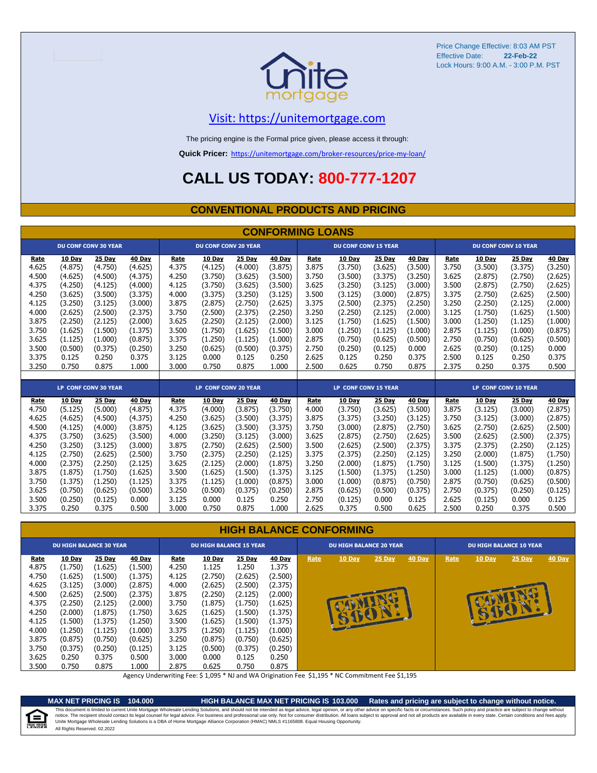

#### [V](https://unitemortgage.com/)isit: https://unitemortgage.com

The pricing engine is the Formal price given, please access it through:

**Quick Pricer:** [https://un](https://unitemortgage.com/broker-resources/price-my-loan/)itemortgage.com/broker-resources/price-my-loan/

# **CALL US TODAY: 800-777-1207**

#### **CONVENTIONAL PRODUCTS AND PRICING**

|       | <b>CONFORMING LOANS</b> |                             |         |       |                             |         |         |       |                             |         |         |       |               |                             |         |
|-------|-------------------------|-----------------------------|---------|-------|-----------------------------|---------|---------|-------|-----------------------------|---------|---------|-------|---------------|-----------------------------|---------|
|       |                         | <b>DU CONF CONV 30 YEAR</b> |         |       | <b>DU CONF CONV 20 YEAR</b> |         |         |       | <b>DU CONF CONV 15 YEAR</b> |         |         |       |               | <b>DU CONF CONV 10 YEAR</b> |         |
| Rate  | 10 Day                  | 25 Day                      | 40 Day  | Rate  | 10 Day                      | 25 Day  | 40 Day  | Rate  | 10 Day                      | 25 Day  | 40 Day  | Rate  | 10 Day        | 25 Day                      | 40 Day  |
| 4.625 | (4.875)                 | (4.750)                     | (4.625) | 4.375 | (4.125)                     | (4.000) | (3.875) | 3.875 | (3.750)                     | (3.625) | (3.500) | 3.750 | (3.500)       | (3.375)                     | (3.250) |
| 4.500 | (4.625)                 | (4.500)                     | (4.375) | 4.250 | (3.750)                     | (3.625) | (3.500) | 3.750 | (3.500)                     | (3.375) | (3.250) | 3.625 | (2.875)       | (2.750)                     | (2.625) |
| 4.375 | (4.250)                 | (4.125)                     | (4.000) | 4.125 | (3.750)                     | (3.625) | (3.500) | 3.625 | (3.250)                     | (3.125) | (3.000) | 3.500 | (2.875)       | (2.750)                     | (2.625) |
| 4.250 | (3.625)                 | (3.500)                     | (3.375) | 4.000 | (3.375)                     | (3.250) | (3.125) | 3.500 | (3.125)                     | (3.000) | (2.875) | 3.375 | (2.750)       | (2.625)                     | (2.500) |
| 4.125 | (3.250)                 | (3.125)                     | (3.000) | 3.875 | (2.875)                     | (2.750) | (2.625) | 3.375 | (2.500)                     | (2.375) | (2.250) | 3.250 | (2.250)       | (2.125)                     | (2.000) |
| 4.000 | (2.625)                 | (2.500)                     | (2.375) | 3.750 | (2.500)                     | (2.375) | (2.250) | 3.250 | (2.250)                     | (2.125) | (2.000) | 3.125 | (1.750)       | (1.625)                     | (1.500) |
| 3.875 | (2.250)                 | (2.125)                     | (2.000) | 3.625 | (2.250)                     | (2.125) | (2.000) | 3.125 | (1.750)                     | (1.625) | (1.500) | 3.000 | (1.250)       | (1.125)                     | (1.000) |
| 3.750 | (1.625)                 | (1.500)                     | (1.375) | 3.500 | (1.750)                     | (1.625) | (1.500) | 3.000 | (1.250)                     | (1.125) | (1.000) | 2.875 | (1.125)       | (1.000)                     | (0.875) |
| 3.625 | (1.125)                 | (1.000)                     | (0.875) | 3.375 | (1.250)                     | (1.125) | (1.000) | 2.875 | (0.750)                     | (0.625) | (0.500) | 2.750 | (0.750)       | (0.625)                     | (0.500) |
| 3.500 | (0.500)                 | (0.375)                     | (0.250) | 3.250 | (0.625)                     | (0.500) | (0.375) | 2.750 | (0.250)                     | (0.125) | 0.000   | 2.625 | (0.250)       | (0.125)                     | 0.000   |
| 3.375 | 0.125                   | 0.250                       | 0.375   | 3.125 | 0.000                       | 0.125   | 0.250   | 2.625 | 0.125                       | 0.250   | 0.375   | 2.500 | 0.125         | 0.250                       | 0.375   |
| 3.250 | 0.750                   | 0.875                       | 1.000   | 3.000 | 0.750                       | 0.875   | 1.000   | 2.500 | 0.625                       | 0.750   | 0.875   | 2.375 | 0.250         | 0.375                       | 0.500   |
|       |                         |                             |         |       |                             |         |         |       |                             |         |         |       |               |                             |         |
|       |                         | LP CONF CONV 30 YEAR        |         |       | LP CONF CONV 20 YEAR        |         |         |       | <b>LP CONF CONV 15 YEAR</b> |         |         |       |               | <b>LP CONF CONV 10 YEAR</b> |         |
| Rate  | 10 Day                  | 25 Day                      | 40 Day  | Rate  | 10 Day                      | 25 Day  | 40 Day  | Rate  | 10 Day                      | 25 Day  | 40 Day  | Rate  | <b>10 Day</b> | 25 Day                      | 40 Day  |
| 4.750 | (5.125)                 | (5.000)                     | (4.875) | 4.375 | (4.000)                     | (3.875) | (3.750) | 4.000 | (3.750)                     | (3.625) | (3.500) | 3.875 | (3.125)       | (3.000)                     | (2.875) |
| 4.625 | (4.625)                 | (4.500)                     | (4.375) | 4.250 | (3.625)                     | (3.500) | (3.375) | 3.875 | (3.375)                     | (3.250) | (3.125) | 3.750 | (3.125)       | (3.000)                     | (2.875) |
| 4.500 | (4.125)                 | (4.000)                     | (3.875) | 4.125 | (3.625)                     | (3.500) | (3.375) | 3.750 | (3.000)                     | (2.875) | (2.750) | 3.625 | (2.750)       | (2.625)                     | (2.500) |
| 4.375 | (3.750)                 | (3.625)                     | (3.500) | 4.000 | (3.250)                     | (3.125) | (3.000) | 3.625 | (2.875)                     | (2.750) | (2.625) | 3.500 | (2.625)       | (2.500)                     | (2.375) |
| 4.250 | (3.250)                 | (3.125)                     | (3.000) | 3.875 | (2.750)                     | (2.625) | (2.500) | 3.500 | (2.625)                     | (2.500) | (2.375) | 3.375 | (2.375)       | (2.250)                     | (2.125) |
| 4.125 | (2.750)                 | (2.625)                     | (2.500) | 3.750 | (2.375)                     | (2.250) | (2.125) | 3.375 | (2.375)                     | (2.250) | (2.125) | 3.250 | (2.000)       | (1.875)                     | (1.750) |
| 4.000 | (2.375)                 | (2.250)                     | (2.125) | 3.625 | (2.125)                     | (2.000) | (1.875) | 3.250 | (2.000)                     | (1.875) | (1.750) | 3.125 | (1.500)       | (1.375)                     | (1.250) |
| 3.875 | (1.875)                 | (1.750)                     | (1.625) | 3.500 | (1.625)                     | (1.500) | (1.375) | 3.125 | (1.500)                     | (1.375) | (1.250) | 3.000 | (1.125)       | (1.000)                     | (0.875) |
| 3.750 | (1.375)                 | (1.250)                     | (1.125) | 3.375 | (1.125)                     | (1.000) | (0.875) | 3.000 | (1.000)                     | (0.875) | (0.750) | 2.875 | (0.750)       | (0.625)                     | (0.500) |
| 3.625 | (0.750)                 | (0.625)                     | (0.500) | 3.250 | (0.500)                     | (0.375) | (0.250) | 2.875 | (0.625)                     | (0.500) | (0.375) | 2.750 | (0.375)       | (0.250)                     | (0.125) |
| 3.500 | (0.250)                 | (0.125)                     | 0.000   | 3.125 | 0.000                       | 0.125   | 0.250   | 2.750 | (0.125)                     | 0.000   | 0.125   | 2.625 | (0.125)       | 0.000                       | 0.125   |
| 3.375 | 0.250                   | 0.375                       | 0.500   | 3.000 | 0.750                       | 0.875   | 1.000   | 2.625 | 0.375                       | 0.500   | 0.625   | 2.500 | 0.250         | 0.375                       | 0.500   |

#### **HIGH BALANCE CONFORMING**

|             | <b>DU HIGH BALANCE 30 YEAR</b> |         |         |       | <b>DU HIGH BALANCE 15 YEAR</b> |         |               |      | <b>DU HIGH BALANCE 20 YEAR</b> |          |        | <b>DU HIGH BALANCE 10 YEAR</b> |               |          |        |  |
|-------------|--------------------------------|---------|---------|-------|--------------------------------|---------|---------------|------|--------------------------------|----------|--------|--------------------------------|---------------|----------|--------|--|
| <u>Rate</u> | <b>10 Day</b>                  | 25 Day  | 40 Day  | Rate  | <u>10 Day</u>                  | 25 Day  | <b>40 Day</b> | Rate | <b>10 Day</b>                  | $25$ Day | 40 Day | Rate                           | <b>10 Day</b> | $25$ Day | 40 Day |  |
| 4.875       | (1.750)                        | (1.625) | (1.500) | 4.250 | 1.125                          | 1.250   | 1.375         |      |                                |          |        |                                |               |          |        |  |
| 4.750       | (1.625)                        | (1.500) | (1.375) | 4.125 | (2.750)                        | (2.625) | (2.500)       |      |                                |          |        |                                |               |          |        |  |
| 4.625       | (3.125)                        | (3.000) | (2.875) | 4.000 | (2.625)                        | (2.500) | (2.375)       |      |                                |          |        |                                |               |          |        |  |
| 4.500       | (2.625)                        | (2.500) | (2.375) | 3.875 | (2.250)                        | (2.125) | (2.000)       |      |                                |          |        |                                |               |          |        |  |
| 4.375       | (2.250)                        | (2.125) | (2.000) | 3.750 | (1.875)                        | (1.750) | (1.625)       |      |                                |          |        |                                |               |          |        |  |
| 4.250       | (2.000)                        | (1.875) | (1.750) | 3.625 | (1.625)                        | (1.500) | (1.375)       |      |                                |          |        |                                | B             | V        |        |  |
| 4.125       | (1.500)                        | (1.375) | (1.250) | 3.500 | (1.625)                        | (1.500) | (1.375)       |      |                                |          |        |                                |               |          |        |  |
| 4.000       | (1.250)                        | (1.125) | (1.000) | 3.375 | (1.250)                        | (1.125) | (1.000)       |      |                                |          |        |                                |               |          |        |  |
| 3.875       | (0.875)                        | (0.750) | (0.625) | 3.250 | (0.875)                        | (0.750) | (0.625)       |      |                                |          |        |                                |               |          |        |  |
| 3.750       | (0.375)                        | (0.250) | (0.125) | 3.125 | (0.500)                        | (0.375) | (0.250)       |      |                                |          |        |                                |               |          |        |  |
| 3.625       | 0.250                          | 0.375   | 0.500   | 3.000 | 0.000                          | 0.125   | 0.250         |      |                                |          |        |                                |               |          |        |  |
| 3.500       | 0.750                          | 0.875   | 1.000   | 2.875 | 0.625                          | 0.750   | 0.875         |      |                                |          |        |                                |               |          |        |  |

Agency Underwriting Fee: \$ 1,095 \* NJ and WA Origination Fee \$1,195 \* NC Commitment Fee \$1,195

≘ QUAL HOUSIN **MAX NET PRICING IS 104.000 HIGH BALANCE MAX NET PRICING IS 103.000 Rates and pricing are subject to change without notice.**

All Rights Reserved. 02.2022 This document is limited to current Unite Mortgage Wholesale Lending Solutions, and should not be intended as legal advice, legal opinion, or any other advice on specific facts or circumstances. Such policy and practice ar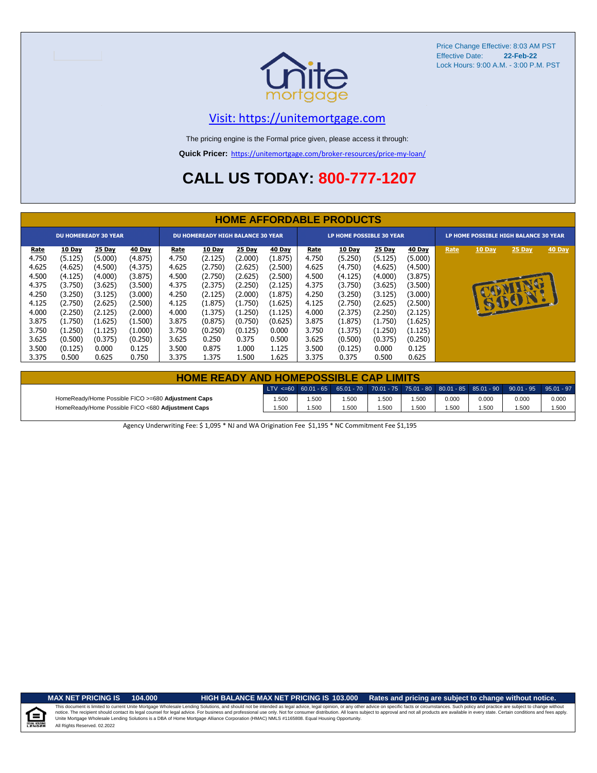

#### [V](https://unitemortgage.com/)isit: https://unitemortgage.com

The pricing engine is the Formal price given, please access it through:

**Quick Pricer:** [https://un](https://unitemortgage.com/broker-resources/price-my-loan/)itemortgage.com/broker-resources/price-my-loan/

# **CALL US TODAY: 800-777-1207**

|                         | <b>HOME AFFORDABLE PRODUCTS</b> |                               |                               |                         |                                          |                               |                               |                         |                                 |                               |                               |                                       |        |        |               |
|-------------------------|---------------------------------|-------------------------------|-------------------------------|-------------------------|------------------------------------------|-------------------------------|-------------------------------|-------------------------|---------------------------------|-------------------------------|-------------------------------|---------------------------------------|--------|--------|---------------|
|                         |                                 | <b>DU HOMEREADY 30 YEAR</b>   |                               |                         | <b>DU HOMEREADY HIGH BALANCE 30 YEAR</b> |                               |                               |                         | <b>LP HOME POSSIBLE 30 YEAR</b> |                               |                               | LP HOME POSSIBLE HIGH BALANCE 30 YEAR |        |        |               |
| <b>Rate</b><br>4.750    | 10 Day<br>(5.125)               | 25 Day<br>(5.000)             | 40 Day<br>(4.875)             | <u>Rate</u><br>4.750    | <b>10 Day</b><br>(2.125)                 | 25 Day<br>(2.000)             | 40 Day<br>(1.875)             | Rate<br>4.750           | 10 Day<br>(5.250)               | 25 Day<br>(5.125)             | <b>40 Day</b><br>(5.000)      | Rate                                  | 10 Day | 25 Day | <b>40 Day</b> |
| 4.625<br>4.500<br>4.375 | (4.625)<br>(4.125)<br>(3.750)   | (4.500)<br>(4.000)<br>(3.625) | (4.375)<br>(3.875)<br>(3.500) | 4.625<br>4.500<br>4.375 | (2.750)<br>(2.750)<br>(2.375)            | (2.625)<br>(2.625)<br>(2.250) | (2.500)<br>(2.500)<br>(2.125) | 4.625<br>4.500<br>4.375 | (4.750)<br>(4.125)<br>(3.750)   | (4.625)<br>(4.000)<br>(3.625) | (4.500)<br>(3.875)<br>(3.500) |                                       |        |        |               |
| 4.250<br>4.125          | (3.250)<br>(2.750)              | (3.125)<br>(2.625)            | (3.000)<br>(2.500)            | 4.250<br>4.125          | (2.125)<br>(1.875)                       | (2.000)<br>(1.750)            | (1.875)<br>(1.625)            | 4.250<br>4.125          | (3.250)<br>(2.750)              | (3.125)<br>(2.625)            | (3.000)<br>(2.500)            |                                       |        | GIFCIN |               |
| 4.000<br>3.875          | (2.250)<br>(1.750)              | (2.125)<br>(1.625)            | (2.000)<br>(1.500)            | 4.000<br>3.875          | (1.375)<br>(0.875)                       | (1.250)<br>(0.750)            | (1.125)<br>(0.625)            | 4.000<br>3.875          | (2.375)<br>(1.875)              | (2.250)<br>(1.750)            | (2.125)<br>(1.625)            |                                       |        |        |               |
| 3.750                   | (1.250)                         | (1.125)                       | (1.000)                       | 3.750                   | (0.250)                                  | (0.125)                       | 0.000                         | 3.750                   | (1.375)                         | (1.250)                       | (1.125)                       |                                       |        |        |               |
| 3.625<br>3.500          | (0.500)<br>(0.125)              | (0.375)<br>0.000              | (0.250)<br>0.125              | 3.625<br>3.500          | 0.250<br>0.875                           | 0.375<br>1.000                | 0.500<br>1.125                | 3.625<br>3.500          | (0.500)<br>(0.125)              | (0.375)<br>0.000              | (0.250)<br>0.125              |                                       |        |        |               |
| 3.375                   | 0.500                           | 0.625                         | 0.750                         | 3.375                   | 1.375                                    | 1.500                         | 1.625                         | 3.375                   | 0.375                           | 0.500                         | 0.625                         |                                       |        |        |               |

| <b>HOME READY AND HOMEPOSSIBLE CAP LIMITS</b>      |       |      |       |       |      |       |       |                                                                                                  |       |  |  |  |  |
|----------------------------------------------------|-------|------|-------|-------|------|-------|-------|--------------------------------------------------------------------------------------------------|-------|--|--|--|--|
|                                                    |       |      |       |       |      |       |       | LTV <=60 60.01 - 65 65.01 - 70 70.01 - 75 75.01 - 80 80.01 - 85 85.01 - 90 90.01 - 95 95.01 - 97 |       |  |  |  |  |
| HomeReady/Home Possible FICO >=680 Adjustment Caps | 1.500 | .500 | 1.500 | 1.500 | .500 | 0.000 | 0.000 | 0.000                                                                                            | 0.000 |  |  |  |  |
| HomeReady/Home Possible FICO <680 Adjustment Caps  | 1.500 | .500 | 1.500 | 1.500 | .500 | 1.500 | 1.500 | 1.500                                                                                            | 1.500 |  |  |  |  |

Agency Underwriting Fee: \$ 1,095 \* NJ and WA Origination Fee \$1,195 \* NC Commitment Fee \$1,195

#### **MAX NET PRICING IS 104.000 HIGH BALANCE MAX NET PRICING IS 103.000 Rates and pricing are subject to change without notice.**

All Rights Reserved. 02.2022 This document is limited to current Unite Mortgage Wholesale Lending Solutions, and should not be intended as legal advice, legal opinion, or any other advice on specific facts or circumstances. Such policy and practice ar notice. The recipient should contact its legal coursel for legal advice. For business and professional use only. Not for consumer distribution. All oans subject to approval and not all products are available in every state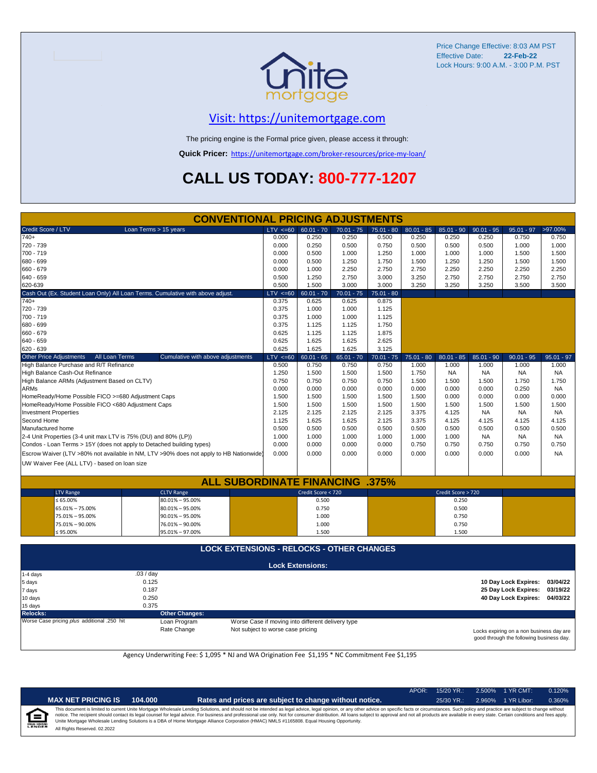

### [V](https://unitemortgage.com/)isit: https://unitemortgage.com

The pricing engine is the Formal price given, please access it through:

**Quick Pricer:** [https://un](https://unitemortgage.com/broker-resources/price-my-loan/)itemortgage.com/broker-resources/price-my-loan/

# **CALL US TODAY: 800-777-1207**

|                                                                                        |                       | <b>CONVENTIONAL PRICING ADJUSTMENTS</b>          |             |              |                                                   |              |              |              |                    |              |                      |              |
|----------------------------------------------------------------------------------------|-----------------------|--------------------------------------------------|-------------|--------------|---------------------------------------------------|--------------|--------------|--------------|--------------------|--------------|----------------------|--------------|
| Credit Score / LTV                                                                     | Loan Terms > 15 years |                                                  |             | $LTV \le 60$ | $60.01 - 70$                                      | $70.01 - 75$ | $75.01 - 80$ | $80.01 - 85$ | $85.01 - 90$       | $90.01 - 95$ | $95.01 - 97$         | >97.00%      |
| $740+$                                                                                 |                       |                                                  | 0.000       |              | 0.250                                             | 0.250        | 0.500        | 0.250        | 0.250              | 0.250        | 0.750                | 0.750        |
| 720 - 739                                                                              |                       |                                                  | 0.000       |              | 0.250                                             | 0.500        | 0.750        | 0.500        | 0.500              | 0.500        | 1.000                | 1.000        |
| 700 - 719                                                                              |                       |                                                  | 0.000       |              | 0.500                                             | 1.000        | 1.250        | 1.000        | 1.000              | 1.000        | 1.500                | 1.500        |
| 680 - 699                                                                              |                       |                                                  | 0.000       |              | 0.500                                             | 1.250        | 1.750        | 1.500        | 1.250              | 1.250        | 1.500                | 1.500        |
| 660 - 679                                                                              |                       |                                                  | 0.000       |              | 1.000                                             | 2.250        | 2.750        | 2.750        | 2.250              | 2.250        | 2.250                | 2.250        |
| 640 - 659                                                                              |                       |                                                  | 0.500       |              | 1.250                                             | 2.750        | 3.000        | 3.250        | 2.750              | 2.750        | 2.750                | 2.750        |
| 620-639                                                                                |                       |                                                  | 0.500       |              | 1.500                                             | 3.000        | 3.000        | 3.250        | 3.250              | 3.250        | 3.500                | 3.500        |
| Cash Out (Ex. Student Loan Only) All Loan Terms. Cumulative with above adjust.         |                       |                                                  | $LTV < =60$ |              | $60.01 - 70$                                      | $70.01 - 75$ | $75.01 - 80$ |              |                    |              |                      |              |
| 740+                                                                                   |                       |                                                  | 0.375       |              | 0.625                                             | 0.625        | 0.875        |              |                    |              |                      |              |
| 720 - 739                                                                              |                       | 0.375                                            |             | 1.000        | 1.000                                             | 1.125        |              |              |                    |              |                      |              |
| 700 - 719                                                                              |                       | 0.375                                            |             | 1.000        | 1.000                                             | 1.125        |              |              |                    |              |                      |              |
| 680 - 699                                                                              |                       |                                                  | 0.375       |              | 1.125                                             | 1.125        | 1.750        |              |                    |              |                      |              |
| 660 - 679                                                                              |                       |                                                  | 0.625       |              | 1.125                                             | 1.125        | 1.875        |              |                    |              |                      |              |
| 640 - 659                                                                              |                       |                                                  | 0.625       |              | 1.625                                             | 1.625        | 2.625        |              |                    |              |                      |              |
| 620 - 639                                                                              |                       |                                                  | 0.625       |              | 1.625                                             | 1.625        | 3.125        |              |                    |              |                      |              |
| <b>Other Price Adjustments</b>                                                         | All Loan Terms        | Cumulative with above adjustments                |             | $LTV < =60$  | $60.01 - 65$                                      | $65.01 - 70$ | $70.01 - 75$ | $75.01 - 80$ | $80.01 - 85$       | $85.01 - 90$ | $90.01 - 95$         | $95.01 - 97$ |
| High Balance Purchase and R/T Refinance                                                |                       |                                                  | 0.500       |              | 0.750                                             | 0.750        | 0.750        | 1.000        | 1.000              | 1.000        | 1.000                | 1.000        |
| High Balance Cash-Out Refinance                                                        |                       |                                                  | 1.250       |              | 1.500                                             | 1.500        | 1.500        | 1.750        | <b>NA</b>          | <b>NA</b>    | <b>NA</b>            | NA           |
| High Balance ARMs (Adjustment Based on CLTV)                                           |                       |                                                  | 0.750       |              | 0.750                                             | 0.750        | 0.750        | 1.500        | 1.500              | 1.500        | 1.750                | 1.750        |
| <b>ARMs</b>                                                                            |                       |                                                  | 0.000       |              | 0.000                                             | 0.000        | 0.000        | 0.000        | 0.000              | 0.000        | 0.250                | <b>NA</b>    |
| HomeReady/Home Possible FICO >=680 Adjustment Caps                                     |                       |                                                  | 1.500       |              | 1.500                                             | 1.500        | 1.500        | 1.500        | 0.000              | 0.000        | 0.000                | 0.000        |
| HomeReady/Home Possible FICO <680 Adjustment Caps                                      |                       |                                                  | 1.500       |              | 1.500                                             | 1.500        | 1.500        | 1.500        | 1.500              | 1.500        | 1.500                | 1.500        |
| <b>Investment Properties</b>                                                           |                       |                                                  | 2.125       |              | 2.125                                             | 2.125        | 2.125        | 3.375        | 4.125              | <b>NA</b>    | <b>NA</b>            | NA           |
| Second Home                                                                            |                       |                                                  | 1.125       |              | 1.625                                             | 1.625        | 2.125        | 3.375        | 4.125              | 4.125        | 4.125                | 4.125        |
| Manufactured home                                                                      |                       |                                                  | 0.500       |              | 0.500                                             | 0.500        | 0.500        | 0.500        | 0.500              | 0.500        | 0.500                | 0.500        |
| 2-4 Unit Properties (3-4 unit max LTV is 75% (DU) and 80% (LP))                        |                       |                                                  | 1.000       |              | 1.000                                             | 1.000        | 1.000        | 1.000        | 1.000              | NA.          | <b>NA</b>            | NA           |
| Condos - Loan Terms > 15Y (does not apply to Detached building types)                  |                       |                                                  | 0.000       |              | 0.000                                             | 0.000        | 0.000        | 0.750        | 0.750              | 0.750        | 0.750                | 0.750        |
| Escrow Waiver (LTV >80% not available in NM, LTV >90% does not apply to HB Nationwide) |                       |                                                  | 0.000       |              | 0.000                                             | 0.000        | 0.000        | 0.000        | 0.000              | 0.000        | 0.000                | <b>NA</b>    |
| UW Waiver Fee (ALL LTV) - based on loan size                                           |                       |                                                  |             |              |                                                   |              |              |              |                    |              |                      |              |
|                                                                                        |                       |                                                  |             |              |                                                   |              |              |              |                    |              |                      |              |
|                                                                                        |                       | <b>ALL SUBORDINATE FINANCING</b>                 |             |              |                                                   |              | .375%        |              |                    |              |                      |              |
| <b>LTV Range</b>                                                                       |                       | <b>CLTV Range</b>                                |             |              | Credit Score < 720                                |              |              |              | Credit Score > 720 |              |                      |              |
| ≤ 65.00%                                                                               |                       | $80.01\% - 95.00\%$                              |             |              | 0.500                                             |              |              |              | 0.250              |              |                      |              |
| 65.01% - 75.00%                                                                        |                       | $80.01\% - 95.00\%$                              |             |              | 0.750                                             |              |              |              | 0.500              |              |                      |              |
| 75.01% - 95.00%                                                                        |                       | $90.01\% - 95.00\%$                              |             |              | 1.000                                             |              |              |              | 0.750              |              |                      |              |
| 75.01% - 90.00%                                                                        |                       | 76.01% - 90.00%                                  |             |              | 1.000                                             |              |              |              | 0.750              |              |                      |              |
| ≤ 95.00%                                                                               |                       | 95.01% - 97.00%                                  |             |              | 1.500                                             |              |              |              | 1.500              |              |                      |              |
|                                                                                        |                       |                                                  |             |              |                                                   |              |              |              |                    |              |                      |              |
|                                                                                        |                       | <b>LOCK EXTENSIONS - RELOCKS - OTHER CHANGES</b> |             |              |                                                   |              |              |              |                    |              |                      |              |
|                                                                                        |                       |                                                  |             |              | <b>Lock Extensions:</b>                           |              |              |              |                    |              |                      |              |
| 1-4 days                                                                               | .03/day               |                                                  |             |              |                                                   |              |              |              |                    |              |                      |              |
| 5 days                                                                                 | 0.125                 |                                                  |             |              |                                                   |              |              |              |                    |              | 10 Day Lock Expires: | 03/04/22     |
| 7 days                                                                                 | 0.187                 |                                                  |             |              |                                                   |              |              |              |                    |              | 25 Day Lock Expires: | 03/19/22     |
| 10 days                                                                                | 0.250                 |                                                  |             |              |                                                   |              |              |              |                    |              | 40 Day Lock Expires: | 04/03/22     |
| 15 days                                                                                | 0.375                 |                                                  |             |              |                                                   |              |              |              |                    |              |                      |              |
| Relocks:                                                                               |                       | <b>Other Changes:</b>                            |             |              |                                                   |              |              |              |                    |              |                      |              |
| Worse Case pricing plus additional .250 hit                                            |                       | Loan Program                                     |             |              | Worse Case if moving into different delivery type |              |              |              |                    |              |                      |              |

Rate Change Not subject to worse case pricing

Locks expiring on a non business day are good through the following business day.

Agency Underwriting Fee: \$ 1,095 \* NJ and WA Origination Fee \$1,195 \* NC Commitment Fee \$1,195

|                           |                              |         |                                                                                                                                                                                                                                                                                                                                                                                                                                                                                                                                                                                                                | APOR: | $15/20$ YR.: |        | 2.500% 1 YR CMT: | 0.120% |
|---------------------------|------------------------------|---------|----------------------------------------------------------------------------------------------------------------------------------------------------------------------------------------------------------------------------------------------------------------------------------------------------------------------------------------------------------------------------------------------------------------------------------------------------------------------------------------------------------------------------------------------------------------------------------------------------------------|-------|--------------|--------|------------------|--------|
|                           | <b>MAX NET PRICING IS</b>    | 104.000 | Rates and prices are subject to change without notice.                                                                                                                                                                                                                                                                                                                                                                                                                                                                                                                                                         |       | $25/30$ YR.: | 2.960% | 1 YR Libor:      | 0.360% |
| ∈<br><b>EQUAL HOUSING</b> | All Rights Reserved, 02,2022 |         | This document is limited to current Unite Mortgage Wholesale Lending Solutions, and should not be intended as legal advice, legal opinion, or any other advice on specific facts or circumstances. Such policy and practice ar<br>notice. The recipient should contact its legal counsel for legal advice. For business and professional use only. Not for consumer distribution. All loans subject to approval and not all products are available in every stat<br>Unite Mortgage Wholesale Lending Solutions is a DBA of Home Mortgage Alliance Corporation (HMAC) NMLS #1165808. Equal Housing Opportunity. |       |              |        |                  |        |